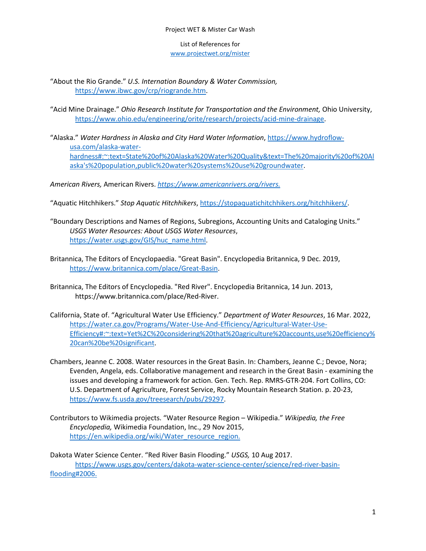List of References for [www.projectwet.org/mister](http://www.projectwet.org/mister)

"About the Rio Grande." *U.S. Internation Boundary & Water Commission,* https://www.ibwc.gov/crp/riogrande.htm.

- "Acid Mine Drainage." *Ohio Research Institute for Transportation and the Environment,* Ohio University, https://www.ohio.edu/engineering/orite/research/projects/acid-mine-drainage.
- "Alaska." *Water Hardness in Alaska and City Hard Water Information*, https://www.hydroflowusa.com/alaska-waterhardness#:~:text=State%20of%20Alaska%20Water%20Quality&text=The%20majority%20of%20Al aska's%20population,public%20water%20systems%20use%20groundwater.

*American Rivers,* American Rivers. *https://www.americanrivers.org/rivers.* 

"Aquatic Hitchhikers." *Stop Aquatic Hitchhikers*, https://stopaquatichitchhikers.org/hitchhikers/.

- "Boundary Descriptions and Names of Regions, Subregions, Accounting Units and Cataloging Units." *USGS Water Resources: About USGS Water Resources*, https://water.usgs.gov/GIS/huc\_name.html.
- Britannica, The Editors of Encyclopaedia. "Great Basin". Encyclopedia Britannica, 9 Dec. 2019, https://www.britannica.com/place/Great-Basin.
- Britannica, The Editors of Encyclopedia. "Red River". Encyclopedia Britannica, 14 Jun. 2013, https://www.britannica.com/place/Red-River.
- California, State of. "Agricultural Water Use Efficiency." *Department of Water Resources*, 16 Mar. 2022, https://water.ca.gov/Programs/Water-Use-And-Efficiency/Agricultural-Water-Use-Efficiency#:~:text=Yet%2C%20considering%20that%20agriculture%20accounts,use%20efficiency% 20can%20be%20significant.
- Chambers, Jeanne C. 2008. Water resources in the Great Basin. In: Chambers, Jeanne C.; Devoe, Nora; Evenden, Angela, eds. Collaborative management and research in the Great Basin - examining the issues and developing a framework for action. Gen. Tech. Rep. RMRS-GTR-204. Fort Collins, CO: U.S. Department of Agriculture, Forest Service, Rocky Mountain Research Station. p. 20-23, https://www.fs.usda.gov/treesearch/pubs/29297.
- Contributors to Wikimedia projects. "Water Resource Region Wikipedia." *Wikipedia, the Free Encyclopedia,* Wikimedia Foundation, Inc., 29 Nov 2015, https://en.wikipedia.org/wiki/Water\_resource\_region.

Dakota Water Science Center. "Red River Basin Flooding." *USGS,* 10 Aug 2017. https://www.usgs.gov/centers/dakota-water-science-center/science/red-river-basinflooding#2006.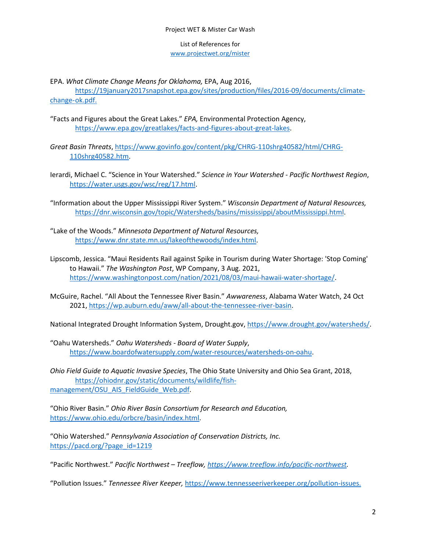## List of References for www.projectwet.org/mister

EPA. *What Climate Change Means for Oklahoma,* EPA, Aug 2016,

https://19january2017snapshot.epa.gov/sites/production/files/2016-09/documents/climatechange-ok.pdf.

- "Facts and Figures about the Great Lakes." *EPA,* Environmental Protection Agency, https://www.epa.gov/greatlakes/facts-and-figures-about-great-lakes.
- *Great Basin Threats*, https://www.govinfo.gov/content/pkg/CHRG-110shrg40582/html/CHRG-110shrg40582.htm.
- Ierardi, Michael C. "Science in Your Watershed." *Science in Your Watershed Pacific Northwest Region*, https://water.usgs.gov/wsc/reg/17.html.
- "Information about the Upper Mississippi River System." *Wisconsin Department of Natural Resources,* https://dnr.wisconsin.gov/topic/Watersheds/basins/mississippi/aboutMississippi.html.
- "Lake of the Woods." *Minnesota Department of Natural Resources,* https://www.dnr.state.mn.us/lakeofthewoods/index.html.
- Lipscomb, Jessica. "Maui Residents Rail against Spike in Tourism during Water Shortage: 'Stop Coming' to Hawaii." *The Washington Post*, WP Company, 3 Aug. 2021, https://www.washingtonpost.com/nation/2021/08/03/maui-hawaii-water-shortage/.
- McGuire, Rachel. "All About the Tennessee River Basin." *Awwareness*, Alabama Water Watch, 24 Oct 2021, https://wp.auburn.edu/aww/all-about-the-tennessee-river-basin.

National Integrated Drought Information System, Drought.gov, https://www.drought.gov/watersheds/.

"Oahu Watersheds." *Oahu Watersheds - Board of Water Supply*, https://www.boardofwatersupply.com/water-resources/watersheds-on-oahu.

*Ohio Field Guide to Aquatic Invasive Species*, The Ohio State University and Ohio Sea Grant, 2018, https://ohiodnr.gov/static/documents/wildlife/fishmanagement/OSU\_AIS\_FieldGuide\_Web.pdf.

"Ohio River Basin." *Ohio River Basin Consortium for Research and Education,* https://www.ohio.edu/orbcre/basin/index.html.

"Ohio Watershed." *Pennsylvania Association of Conservation Districts, Inc.* https://pacd.org/?page\_id=1219

"Pacific Northwest." *Pacific Northwest – Treeflow, https://www.treeflow.info/pacific-northwest.* 

"Pollution Issues." *Tennessee River Keeper,* https://www.tennesseeriverkeeper.org/pollution-issues.